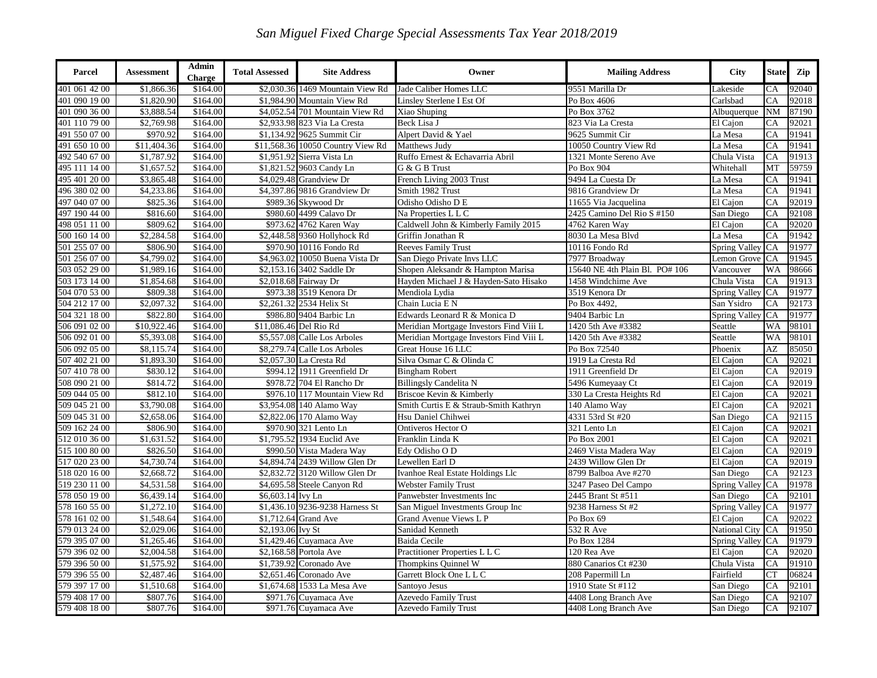| Parcel                         | <b>Assessment</b> | Admin<br><b>Charge</b> | <b>Total Assessed</b>  | <b>Site Address</b>               | Owner                                   | <b>Mailing Address</b>         | <b>City</b>           | <b>State</b> | Zip   |
|--------------------------------|-------------------|------------------------|------------------------|-----------------------------------|-----------------------------------------|--------------------------------|-----------------------|--------------|-------|
| 401 061 42 00                  | \$1,866.36        | \$164.00               |                        | \$2,030.36 1469 Mountain View Rd  | Jade Caliber Homes LLC                  | 9551 Marilla Dr                | Lakeside              | CA           | 92040 |
| 401 090 19 00                  | \$1,820.90        | \$164.00               |                        | \$1,984.90 Mountain View Rd       | Linsley Sterlene I Est Of               | Po Box 4606                    | Carlsbad              | CA           | 92018 |
| 401 090 36 00<br>401 110 79 00 | \$3,888.54        | \$164.00               |                        | \$4,052.54 701 Mountain View Rd   | Xiao Shuping                            | Po Box 3762                    | Albuquerque           | <b>NM</b>    | 87190 |
|                                | \$2,769.98        | \$164.00               |                        | \$2,933.98 823 Via La Cresta      | Beck Lisa J                             | 823 Via La Cresta              | El Cajon              | CA           | 92021 |
| 491 550 07 00<br>491 650 10 00 | \$970.92          | \$164.00               |                        | \$1,134.92 9625 Summit Cir        | Alpert David & Yael                     | 9625 Summit Cir                | La Mesa               | CA           | 91941 |
|                                | \$11,404.36       | \$164.00               |                        | \$11,568.36 10050 Country View Rd | Matthews Judy                           | 10050 Country View Rd          | La Mesa               | CA           | 91941 |
| 492 540 67 00<br>495 111 14 00 | \$1,787.92        | \$164.00               |                        | \$1,951.92 Sierra Vista Ln        | Ruffo Ernest & Echavarria Abril         | 1321 Monte Sereno Ave          | Chula Vista           | CA           | 91913 |
|                                | \$1,657.52        | \$164.00               |                        | \$1,821.52 9603 Candy Ln          | G & G B Trust                           | Po Box 904                     | Whitehall             | MT           | 59759 |
| 495 401 20 00<br>496 380 02 00 | \$3,865.48        | \$164.00               | \$4,029.48             | <b>Grandview Dr</b>               | French Living 2003 Trust                | 9494 La Cuesta Dr              | La Mesa               | CA           | 91941 |
|                                | \$4,233.86        | \$164.00               |                        | \$4,397.86 9816 Grandview Dr      | Smith 1982 Trust                        | 9816 Grandview Dr              | La Mesa               | CA           | 91941 |
| 497 040 07 00<br>497 190 44 00 | \$825.36          | \$164.00               |                        | \$989.36 Skywood Dr               | Odisho Odisho D E                       | 11655 Via Jacquelina           | El Cajon              | CA           | 92019 |
|                                | \$816.60          | \$164.00               |                        | \$980.60 4499 Calavo Dr           | Na Properties L L C                     | 2425 Camino Del Rio S #150     | San Diego             | CA           | 92108 |
| 498 051 11 00                  | \$809.62          | \$164.00               |                        | \$973.62 4762 Karen Way           | Caldwell John & Kimberly Family 2015    | 4762 Karen Way                 | El Cajon              | CA           | 92020 |
| 500 160 14 00                  | \$2,284.58        | \$164.00               |                        | \$2,448.58 9360 Hollyhock Rd      | Griffin Jonathan R                      | 8030 La Mesa Blvd              | La Mesa               | CA           | 91942 |
| 501 255 07 00                  | \$806.90          | \$164.00               |                        | \$970.90 10116 Fondo Rd           | <b>Reeves Family Trust</b>              | 10116 Fondo Rd                 | <b>Spring Valley</b>  | CA           | 91977 |
| 501 256 07 00                  | \$4,799.02        | \$164.00               |                        | \$4,963.02 10050 Buena Vista Dr   | San Diego Private Invs LLC              | 7977 Broadway                  | Lemon Grove           | CA           | 91945 |
| 503 052 29 00                  | \$1,989.16        | \$164.00               |                        | \$2,153.16 3402 Saddle Dr         | Shopen Aleksandr & Hampton Marisa       | 15640 NE 4th Plain Bl. PO# 106 | Vancouver             | WA           | 98666 |
| 503 173 14 00                  | \$1,854.68        | \$164.00               |                        | \$2,018.68 Fairway Dr             | Hayden Michael J & Hayden-Sato Hisako   | 1458 Windchime Ave             | Chula Vista           | CA           | 91913 |
| 504 070 53 00                  | \$809.38          | \$164.00               |                        | \$973.38 3519 Kenora Dr           | Mendiola Lydia                          | 3519 Kenora Dr                 | Spring Valley         | CA           | 91977 |
| 504 212 17 00                  | \$2,097.32        | \$164.00               |                        | \$2,261.32 2534 Helix St          | Chain Lucia E N                         | Po Box 4492                    | San Ysidro            | CA           | 92173 |
| 504 321 18 00                  | \$822.80          | \$164.00               |                        | \$986.80 9404 Barbic Ln           | Edwards Leonard R & Monica D            | 9404 Barbic Ln                 | <b>Spring Valley</b>  | CA           | 91977 |
| 506 091 02 00                  | \$10,922.46       | \$164.00               | \$11,086.46 Del Rio Rd |                                   | Meridian Mortgage Investors Find Viii L | 1420 5th Ave #3382             | Seattle               | WA           | 98101 |
| 506 092 01 00                  | \$5,393.08        | \$164.00               |                        | \$5,557.08 Calle Los Arboles      | Meridian Mortgage Investors Find Viii L | 1420 5th Ave #3382             | Seattle               | WA           | 98101 |
| 506 092 05 00                  | \$8,115.74        | \$164.00               |                        | \$8,279.74 Calle Los Arboles      | Great House 16 LLC                      | Po Box 72540                   | Phoenix               | AZ           | 85050 |
| 507 402 21 00                  | \$1,893.30        | \$164.00               |                        | \$2,057.30 La Cresta Rd           | Silva Osmar C & Olinda C                | 1919 La Cresta Rd              | El Cajon              | CA           | 92021 |
| 507 410 78 00                  | \$830.12          | \$164.00               |                        | \$994.12 1911 Greenfield Dr       | <b>Bingham Robert</b>                   | 1911 Greenfield Dr             | $\overline{El}$ Cajon | CA           | 92019 |
| 508 090 21 00                  | \$814.72          | \$164.00               |                        | \$978.72 704 El Rancho Dr         | <b>Billingsly Candelita N</b>           | 5496 Kumeyaay Ct               | $\overline{El}$ Cajon | CA           | 92019 |
| 509 044 05 00                  | \$812.10          | \$164.00               |                        | \$976.10 117 Mountain View Rd     | Briscoe Kevin & Kimberly                | 330 La Cresta Heights Rd       | El Cajon              | CA           | 92021 |
| 509 045 21 00                  | \$3,790.08        | \$164.00               | \$3,954.08             | 140 Alamo Way                     | Smith Curtis E & Straub-Smith Kathryn   | 140 Alamo Way                  | El Cajon              | CA           | 92021 |
| 509 045 31 00                  | \$2,658.06        | \$164.00               |                        | \$2,822.06 170 Alamo Way          | Hsu Daniel Chihwei                      | 4331 53rd St #20               | San Diego             | CA           | 92115 |
| 509 162 24 00                  | \$806.90          | \$164.00               |                        | \$970.90 321 Lento Ln             | Ontiveros Hector O                      | 321 Lento Ln                   | El Cajon              | CA           | 92021 |
| 512 010 36 00                  | \$1,631.52        | \$164.00               |                        | \$1,795.52 1934 Euclid Ave        | Franklin Linda K                        | Po Box 2001                    | El Cajon              | CA           | 92021 |
| 515 100 80 00                  | \$826.50          | \$164.00               |                        | \$990.50 Vista Madera Way         | Edy Odisho O D                          | 2469 Vista Madera Way          | El Cajon              | CA           | 92019 |
| 517 020 23 00                  | \$4,730.74        | \$164.00               |                        | \$4,894.74 2439 Willow Glen Dr    | Lewellen Earl D                         | 2439 Willow Glen Dr            | El Cajon              | CA           | 92019 |
| 518 020 16 00                  | \$2,668.72        | \$164.00               |                        | \$2,832.72 3120 Willow Glen Dr    | Ivanhoe Real Estate Holdings Llc        | 8799 Balboa Ave #270           | San Diego             | CA           | 92123 |
| 519 230 11 00                  | \$4,531.58        | \$164.00               |                        | \$4,695.58 Steele Canyon Rd       | <b>Webster Family Trust</b>             | 3247 Paseo Del Campo           | Spring Valley         | CA           | 91978 |
| 578 050 19 00                  | \$6,439.14        | \$164.00               | \$6,603.14 Ivy Ln      |                                   | Panwebster Investments Inc              | 2445 Brant St #511             | San Diego             | CA           | 92101 |
| 578 160 55 00                  | \$1,272.10        | \$164.00               |                        | \$1,436.10 9236-9238 Harness St   | San Miguel Investments Group Inc        | 9238 Harness St #2             | <b>Spring Valley</b>  | CA           | 91977 |
| 578 161 02 00                  | \$1,548.64        | \$164.00               |                        | \$1,712.64 Grand Ave              | Grand Avenue Views L P                  | Po Box 69                      | El Cajon              | CA           | 92022 |
| 579 013 24 00                  | \$2,029.06        | \$164.00               | \$2,193.06 Ivy St      |                                   | Sanidad Kenneth                         | $\overline{532}$ R Ave         | <b>National City</b>  | CA           | 91950 |
| 579 395 07 00                  | \$1,265.46        | \$164.00               |                        | \$1,429.46 Cuyamaca Ave           | <b>Baida Cecile</b>                     | Po Box 1284                    | <b>Spring Valley</b>  | CA           | 91979 |
| 579 396 02 00                  | \$2,004.58        | \$164.00               |                        | \$2,168.58 Portola Ave            | Practitioner Properties L L C           | 120 Rea Ave                    | El Cajon              | CA           | 92020 |
| 579 396 50 00                  | \$1,575.92        | \$164.00               |                        | \$1,739.92 Coronado Ave           | Thompkins Quinnel W                     | 880 Canarios Ct #230           | Chula Vista           | CA           | 91910 |
| 579 396 55 00                  | \$2,487.46        | \$164.00               |                        | \$2,651.46 Coronado Ave           | Garrett Block One L L C                 | 208 Papermill Ln               | Fairfield             | CT           | 06824 |
| 579 397 17 00                  | \$1,510.68        | \$164.00               | \$1,674.68             | 1533 La Mesa Ave                  | Santoyo Jesus                           | 1910 State St #112             | San Diego             | CA           | 92101 |
| 579 408 17 00                  | \$807.76          | \$164.00               |                        | \$971.76 Cuyamaca Ave             | Azevedo Family Trust                    | 4408 Long Branch Ave           | San Diego             | CA           | 92107 |
| 579 408 18 00                  | \$807.76          | \$164.00               |                        | \$971.76 Cuyamaca Ave             | <b>Azevedo Family Trust</b>             | 4408 Long Branch Ave           | San Diego             | CA           | 92107 |